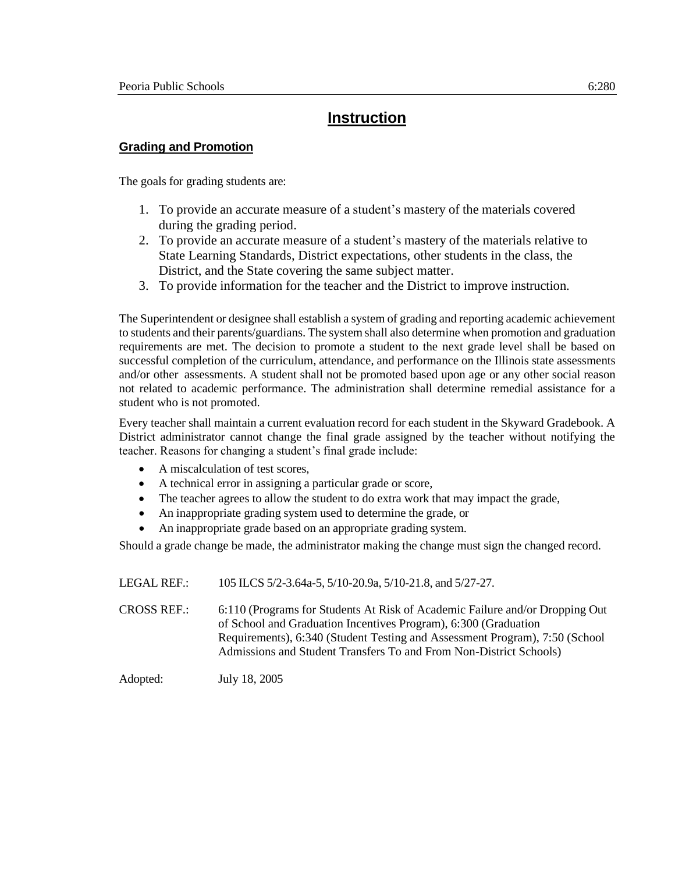# **Instruction**

### **Grading and Promotion**

The goals for grading students are:

- 1. To provide an accurate measure of a student's mastery of the materials covered during the grading period.
- 2. To provide an accurate measure of a student's mastery of the materials relative to State Learning Standards, District expectations, other students in the class, the District, and the State covering the same subject matter.
- 3. To provide information for the teacher and the District to improve instruction.

The Superintendent or designee shall establish a system of grading and reporting academic achievement to students and their parents/guardians. The system shall also determine when promotion and graduation requirements are met. The decision to promote a student to the next grade level shall be based on successful completion of the curriculum, attendance, and performance on the Illinois state assessments and/or other assessments. A student shall not be promoted based upon age or any other social reason not related to academic performance. The administration shall determine remedial assistance for a student who is not promoted.

Every teacher shall maintain a current evaluation record for each student in the Skyward Gradebook. A District administrator cannot change the final grade assigned by the teacher without notifying the teacher. Reasons for changing a student's final grade include:

- A miscalculation of test scores.
- A technical error in assigning a particular grade or score,
- The teacher agrees to allow the student to do extra work that may impact the grade,
- An inappropriate grading system used to determine the grade, or
- An inappropriate grade based on an appropriate grading system.

Should a grade change be made, the administrator making the change must sign the changed record.

LEGAL REF.: 105 ILCS 5/2-3.64a-5, 5/10-20.9a, 5/10-21.8, and 5/27-27. CROSS REF.: 6:110 (Programs for Students At Risk of Academic Failure and/or Dropping Out of School and Graduation Incentives Program), 6:300 (Graduation Requirements), 6:340 (Student Testing and Assessment Program), 7:50 (School Admissions and Student Transfers To and From Non-District Schools)

Adopted: July 18, 2005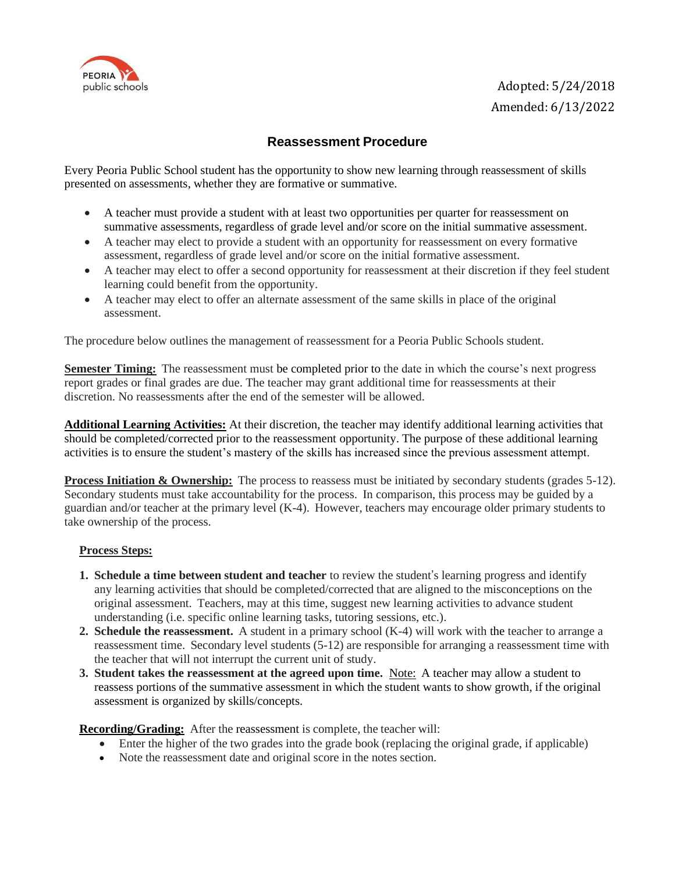

# **Reassessment Procedure**

Every Peoria Public School student has the opportunity to show new learning through reassessment of skills presented on assessments, whether they are formative or summative.

- A teacher must provide a student with at least two opportunities per quarter for reassessment on summative assessments, regardless of grade level and/or score on the initial summative assessment.
- A teacher may elect to provide a student with an opportunity for reassessment on every formative assessment, regardless of grade level and/or score on the initial formative assessment.
- A teacher may elect to offer a second opportunity for reassessment at their discretion if they feel student learning could benefit from the opportunity.
- A teacher may elect to offer an alternate assessment of the same skills in place of the original assessment.

The procedure below outlines the management of reassessment for a Peoria Public Schools student.

**Semester Timing:** The reassessment must be completed prior to the date in which the course's next progress report grades or final grades are due. The teacher may grant additional time for reassessments at their discretion. No reassessments after the end of the semester will be allowed.

**Additional Learning Activities:** At their discretion, the teacher may identify additional learning activities that should be completed/corrected prior to the reassessment opportunity. The purpose of these additional learning activities is to ensure the student's mastery of the skills has increased since the previous assessment attempt.

**Process Initiation & Ownership:** The process to reassess must be initiated by secondary students (grades 5-12). Secondary students must take accountability for the process. In comparison, this process may be guided by a guardian and/or teacher at the primary level (K-4). However, teachers may encourage older primary students to take ownership of the process.

#### **Process Steps:**

- **1. Schedule a time between student and teacher** to review the student's learning progress and identify any learning activities that should be completed/corrected that are aligned to the misconceptions on the original assessment. Teachers, may at this time, suggest new learning activities to advance student understanding (i.e. specific online learning tasks, tutoring sessions, etc.).
- **2. Schedule the reassessment.** A student in a primary school (K-4) will work with the teacher to arrange a reassessment time. Secondary level students (5-12) are responsible for arranging a reassessment time with the teacher that will not interrupt the current unit of study.
- **3. Student takes the reassessment at the agreed upon time.** Note: A teacher may allow a student to reassess portions of the summative assessment in which the student wants to show growth, if the original assessment is organized by skills/concepts.

**Recording/Grading:** After the reassessment is complete, the teacher will:

- Enter the higher of the two grades into the grade book (replacing the original grade, if applicable)
- Note the reassessment date and original score in the notes section.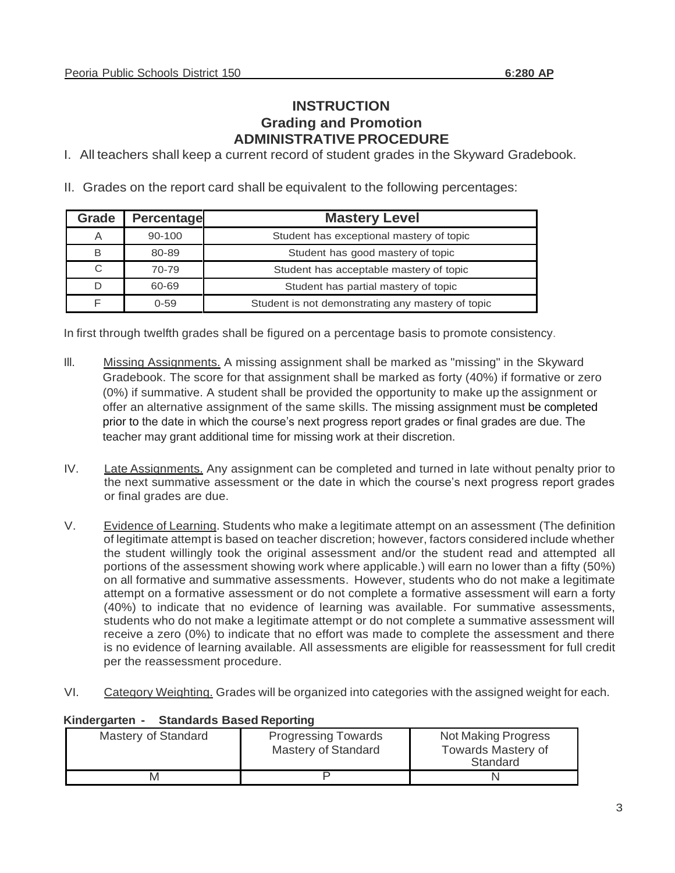# **INSTRUCTION Grading and Promotion ADMINISTRATIVE PROCEDURE**

I. All teachers shall keep a current record of student grades in the Skyward Gradebook.

II. Grades on the report card shall be equivalent to the following percentages:

| Grade | <b>Percentage</b> | <b>Mastery Level</b>                              |  |
|-------|-------------------|---------------------------------------------------|--|
| A     | 90-100            | Student has exceptional mastery of topic          |  |
| В     | 80-89             | Student has good mastery of topic                 |  |
| C     | 70-79             | Student has acceptable mastery of topic           |  |
|       | 60-69             | Student has partial mastery of topic              |  |
|       | $0 - 59$          | Student is not demonstrating any mastery of topic |  |

In first through twelfth grades shall be figured on a percentage basis to promote consistency.

- III. Missing Assignments. A missing assignment shall be marked as "missing" in the Skyward Gradebook. The score for that assignment shall be marked as forty (40%) if formative or zero (0%) if summative. A student shall be provided the opportunity to make up the assignment or offer an alternative assignment of the same skills. The missing assignment must be completed prior to the date in which the course's next progress report grades or final grades are due. The teacher may grant additional time for missing work at their discretion.
- IV. Late Assignments. Any assignment can be completed and turned in late without penalty prior to the next summative assessment or the date in which the course's next progress report grades or final grades are due.
- V. Evidence of Learning. Students who make a legitimate attempt on an assessment (The definition of legitimate attempt is based on teacher discretion; however, factors considered include whether the student willingly took the original assessment and/or the student read and attempted all portions of the assessment showing work where applicable.) will earn no lower than a fifty (50%) on all formative and summative assessments. However, students who do not make a legitimate attempt on a formative assessment or do not complete a formative assessment will earn a forty (40%) to indicate that no evidence of learning was available. For summative assessments, students who do not make a legitimate attempt or do not complete a summative assessment will receive a zero (0%) to indicate that no effort was made to complete the assessment and there is no evidence of learning available. All assessments are eligible for reassessment for full credit per the reassessment procedure.
- VI. Category Weighting. Grades will be organized into categories with the assigned weight for each.

| Mastery of Standard | <b>Progressing Towards</b><br>Mastery of Standard | Not Making Progress<br><b>Towards Mastery of</b><br>Standard |
|---------------------|---------------------------------------------------|--------------------------------------------------------------|
|                     |                                                   |                                                              |

### **Kindergarten - Standards Based Reporting**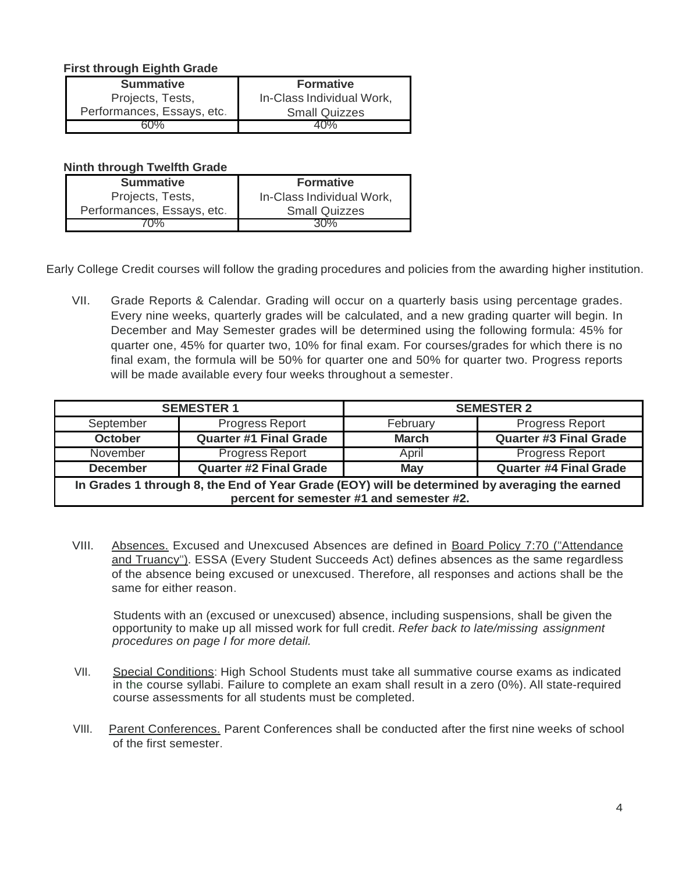### **First through Eighth Grade**

| <b>Summative</b>           | <b>Formative</b>          |  |
|----------------------------|---------------------------|--|
| Projects, Tests,           | In-Class Individual Work, |  |
| Performances, Essays, etc. | <b>Small Quizzes</b>      |  |
| 50%                        |                           |  |

#### **Ninth through Twelfth Grade**

| <b>Summative</b>           | <b>Formative</b>          |  |
|----------------------------|---------------------------|--|
| Projects, Tests,           | In-Class Individual Work, |  |
| Performances, Essays, etc. | <b>Small Quizzes</b>      |  |
| በ%                         | 30%                       |  |

Early College Credit courses will follow the grading procedures and policies from the awarding higher institution.

VII. Grade Reports & Calendar. Grading will occur on a quarterly basis using percentage grades. Every nine weeks, quarterly grades will be calculated, and a new grading quarter will begin. In December and May Semester grades will be determined using the following formula: 45% for quarter one, 45% for quarter two, 10% for final exam. For courses/grades for which there is no final exam, the formula will be 50% for quarter one and 50% for quarter two. Progress reports will be made available every four weeks throughout a semester.

|                                                                                                                                           | <b>SEMESTER 1</b>             | <b>SEMESTER 2</b> |                               |  |  |  |  |
|-------------------------------------------------------------------------------------------------------------------------------------------|-------------------------------|-------------------|-------------------------------|--|--|--|--|
| September                                                                                                                                 | Progress Report               | February          | Progress Report               |  |  |  |  |
| <b>October</b>                                                                                                                            | <b>Quarter #1 Final Grade</b> | <b>March</b>      | <b>Quarter #3 Final Grade</b> |  |  |  |  |
| November                                                                                                                                  | <b>Progress Report</b>        | April             | <b>Progress Report</b>        |  |  |  |  |
| <b>December</b>                                                                                                                           | <b>Quarter #2 Final Grade</b> | <b>May</b>        | <b>Quarter #4 Final Grade</b> |  |  |  |  |
| In Grades 1 through 8, the End of Year Grade (EOY) will be determined by averaging the earned<br>percent for semester #1 and semester #2. |                               |                   |                               |  |  |  |  |

VIII. Absences. Excused and Unexcused Absences are defined in Board Policy 7:70 ("Attendance and Truancy"). ESSA (Every Student Succeeds Act) defines absences as the same regardless of the absence being excused or unexcused. Therefore, all responses and actions shall be the same for either reason.

Students with an (excused or unexcused) absence, including suspensions, shall be given the opportunity to make up all missed work for full credit. *Refer back to late/missing assignment procedures on page I for more detail.* 

- VII. Special Conditions: High School Students must take all summative course exams as indicated in the course syllabi. Failure to complete an exam shall result in a zero (0%). All state-required course assessments for all students must be completed.
- VIII. Parent Conferences. Parent Conferences shall be conducted after the first nine weeks of school of the first semester.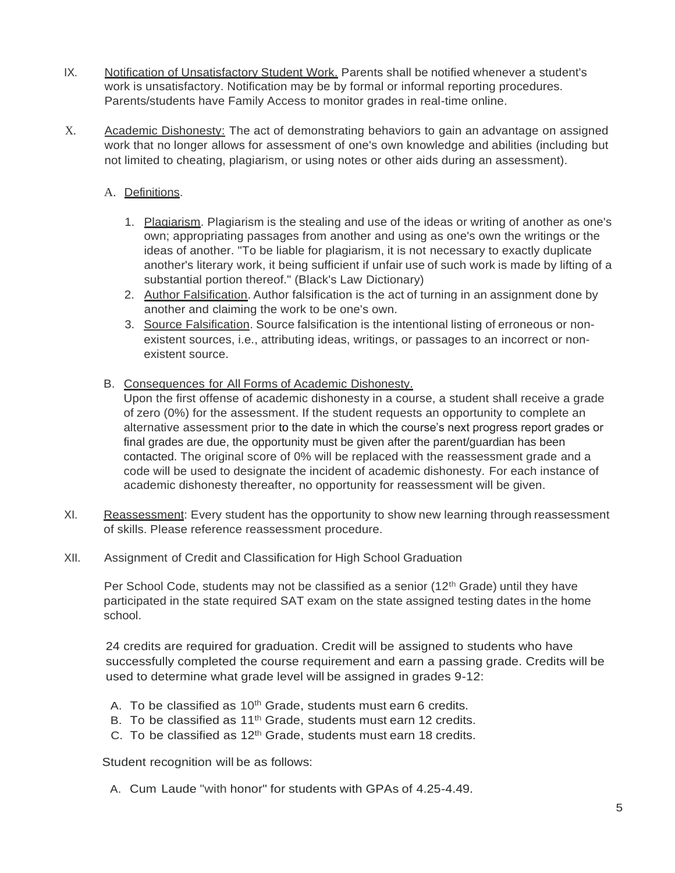- IX. Notification of Unsatisfactory Student Work. Parents shall be notified whenever a student's work is unsatisfactory. Notification may be by formal or informal reporting procedures. Parents/students have Family Access to monitor grades in real-time online.
- X. Academic Dishonesty: The act of demonstrating behaviors to gain an advantage on assigned work that no longer allows for assessment of one's own knowledge and abilities (including but not limited to cheating, plagiarism, or using notes or other aids during an assessment).

## A. Definitions.

- 1. Plagiarism. Plagiarism is the stealing and use of the ideas or writing of another as one's own; appropriating passages from another and using as one's own the writings or the ideas of another. "To be liable for plagiarism, it is not necessary to exactly duplicate another's literary work, it being sufficient if unfair use of such work is made by lifting of a substantial portion thereof." (Black's Law Dictionary)
- 2. Author Falsification. Author falsification is the act of turning in an assignment done by another and claiming the work to be one's own.
- 3. Source Falsification. Source falsification is the intentional listing of erroneous or nonexistent sources, i.e., attributing ideas, writings, or passages to an incorrect or nonexistent source.
- B. Consequences for All Forms of Academic Dishonesty.

Upon the first offense of academic dishonesty in a course, a student shall receive a grade of zero (0%) for the assessment. If the student requests an opportunity to complete an alternative assessment prior to the date in which the course's next progress report grades or final grades are due, the opportunity must be given after the parent/guardian has been contacted. The original score of 0% will be replaced with the reassessment grade and a code will be used to designate the incident of academic dishonesty. For each instance of academic dishonesty thereafter, no opportunity for reassessment will be given.

- XI. Reassessment: Every student has the opportunity to show new learning through reassessment of skills. Please reference reassessment procedure.
- XII. Assignment of Credit and Classification for High School Graduation

Per School Code, students may not be classified as a senior  $(12<sup>th</sup> Grade)$  until they have participated in the state required SAT exam on the state assigned testing dates in the home school.

24 credits are required for graduation. Credit will be assigned to students who have successfully completed the course requirement and earn a passing grade. Credits will be used to determine what grade level will be assigned in grades 9-12:

- A. To be classified as  $10<sup>th</sup>$  Grade, students must earn 6 credits.
- B. To be classified as  $11<sup>th</sup>$  Grade, students must earn 12 credits.
- C. To be classified as  $12<sup>th</sup>$  Grade, students must earn 18 credits.

Student recognition will be as follows:

A. Cum Laude "with honor" for students with GPAs of 4.25-4.49.